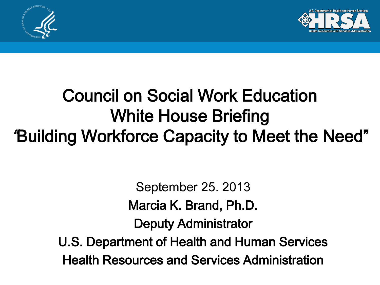



#### Council on Social Work Education White House Briefing "Building Workforce Capacity to Meet the Need"

 $\frac{1}{2}$ September 25. 2013 Marcia K. Brand, Ph.D. Deputy Administrator U.S. Department of Health and Human Services Health Resources and Services Administration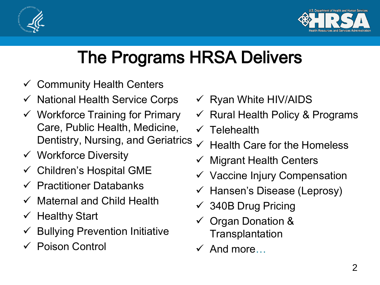



#### The Programs HRSA Delivers

- $\checkmark$  Community Health Centers
- National Health Service Corps
- $\checkmark$  Workforce Training for Primary Care, Public Health, Medicine, Dentistry, Nursing, and Geriatrics
- $\checkmark$  Workforce Diversity
- $\checkmark$  Children's Hospital GME
- $\checkmark$  Practitioner Databanks
- $\checkmark$  Maternal and Child Health
- $\checkmark$  Healthy Start
- $\checkmark$  Bullying Prevention Initiative
- Poison Control
- $\checkmark$  Ryan White HIV/AIDS
- $\checkmark$  Rural Health Policy & Programs
- $\checkmark$  Telehealth
- Health Care for the Homeless
- $\checkmark$  Migrant Health Centers
- $\checkmark$  Vaccine Injury Compensation
- $\checkmark$  Hansen's Disease (Leprosy)
- 340B Drug Pricing
- $\checkmark$  Organ Donation & **Transplantation**
- $\checkmark$  And more…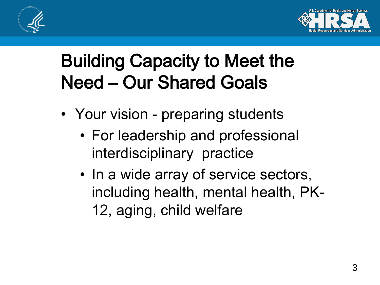



#### Building Capacity to Meet the Need – Our Shared Goals

- Your vision preparing students
	- For leadership and professional interdisciplinary practice
	- In a wide array of service sectors, including health, mental health, PK-12, aging, child welfare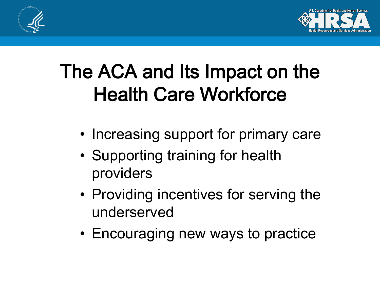



### The ACA and Its Impact on the Health Care Workforce

- Increasing support for primary care
- Supporting training for health providers
- Providing incentives for serving the underserved
- Encouraging new ways to practice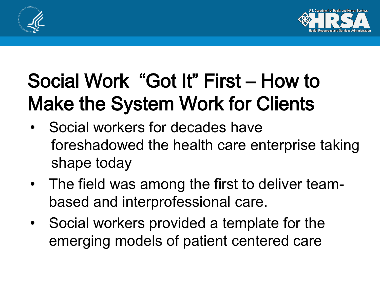



## Social Work "Got It" First – How to Make the System Work for Clients

- Social workers for decades have foreshadowed the health care enterprise taking shape today
- The field was among the first to deliver teambased and interprofessional care.
- Social workers provided a template for the emerging models of patient centered care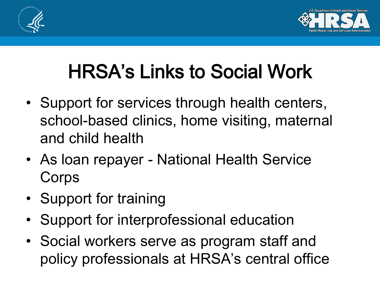



## HRSA's Links to Social Work

- Support for services through health centers, school-based clinics, home visiting, maternal and child health
- As loan repayer National Health Service **Corps**
- Support for training
- Support for interprofessional education
- Social workers serve as program staff and policy professionals at HRSA's central office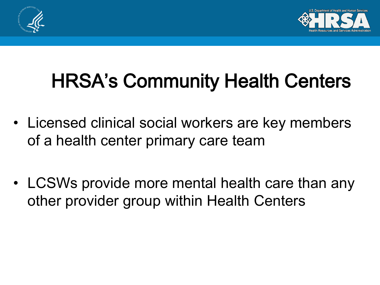



# HRSA's Community Health Centers

- Licensed clinical social workers are key members of a health center primary care team
- LCSWs provide more mental health care than any other provider group within Health Centers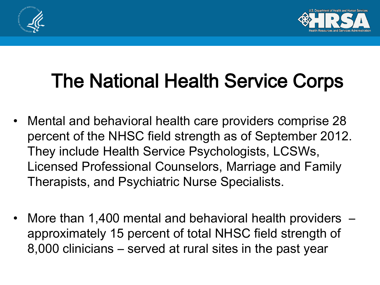



## The National Health Service Corps

- Mental and behavioral health care providers comprise 28 percent of the NHSC field strength as of September 2012. They include Health Service Psychologists, LCSWs, Licensed Professional Counselors, Marriage and Family Therapists, and Psychiatric Nurse Specialists.
- More than 1,400 mental and behavioral health providers approximately 15 percent of total NHSC field strength of 8,000 clinicians – served at rural sites in the past year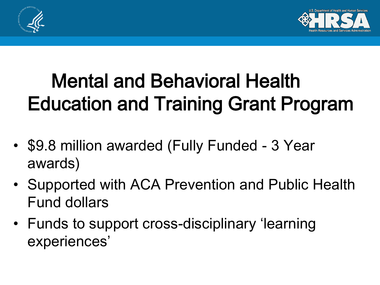



## Mental and Behavioral Health Education and Training Grant Program

- \$9.8 million awarded (Fully Funded 3 Year awards)
- Supported with ACA Prevention and Public Health Fund dollars
- Funds to support cross-disciplinary 'learning experiences'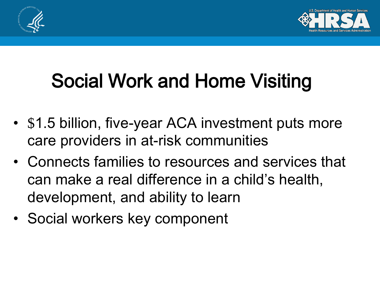



# Social Work and Home Visiting

- \$1.5 billion, five-year ACA investment puts more care providers in at-risk communities
- Connects families to resources and services that can make a real difference in a child's health, development, and ability to learn
- Social workers key component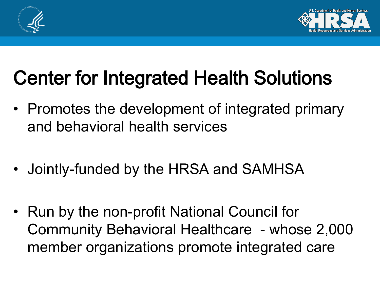



### Center for Integrated Health Solutions

- Promotes the development of integrated primary and behavioral health services
- Jointly-funded by the HRSA and SAMHSA
- Run by the non-profit National Council for Community Behavioral Healthcare - whose 2,000 member organizations promote integrated care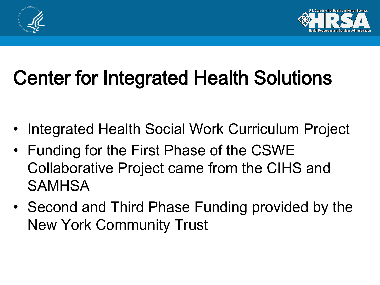



## Center for Integrated Health Solutions

- Integrated Health Social Work Curriculum Project
- Funding for the First Phase of the CSWE Collaborative Project came from the CIHS and SAMHSA
- Second and Third Phase Funding provided by the New York Community Trust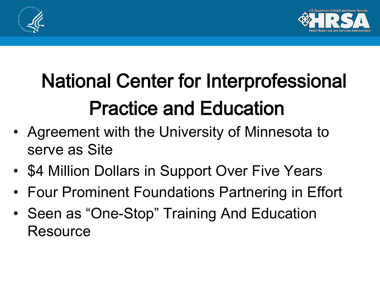



# National Center for Interprofessional Practice and Education

- Agreement with the University of Minnesota to serve as Site
- \$4 Million Dollars in Support Over Five Years
- Four Prominent Foundations Partnering in Effort
- Seen as "One-Stop" Training And Education **Resource**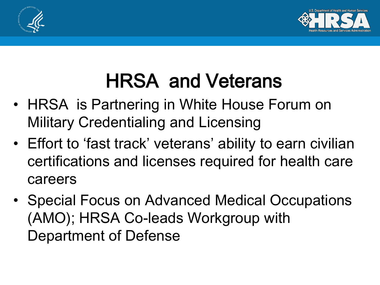



## HRSA and Veterans

- HRSA is Partnering in White House Forum on Military Credentialing and Licensing
- Effort to 'fast track' veterans' ability to earn civilian certifications and licenses required for health care careers
- Special Focus on Advanced Medical Occupations (AMO); HRSA Co-leads Workgroup with Department of Defense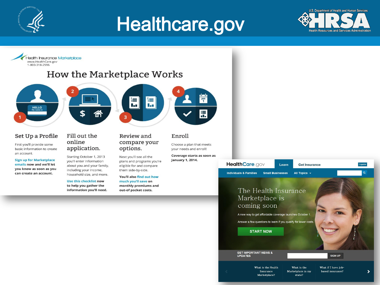

#### Healthcare.gov



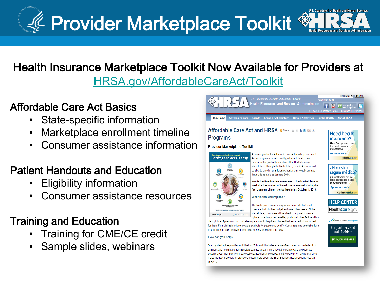

#### Health Insurance Marketplace Toolkit Now Available for Providers at [HRSA.gov/AffordableCareAct/Toolkit](http://www.hrsa.gov/affordablecareact/toolkit.html)

#### Affordable Care Act Basics

- State-specific information
- Marketplace enrollment timeline
- Consumer assistance information

#### Patient Handouts and Education

- Eligibility information
- Consumer assistance resources

#### Training and Education

- Training for CME/CE credit
- Sample slides, webinars



Start by viewing the provider toolkit below. This toolkit includes a range of resources and materials that clinicians and health care administrators can use to learn more about the Marketplace and educate patients about their new health care options, how insurance works, and the benefits of having insurance It also includes materials for providers to learn more about the Small Business Health Options Program  $(SHOP)$